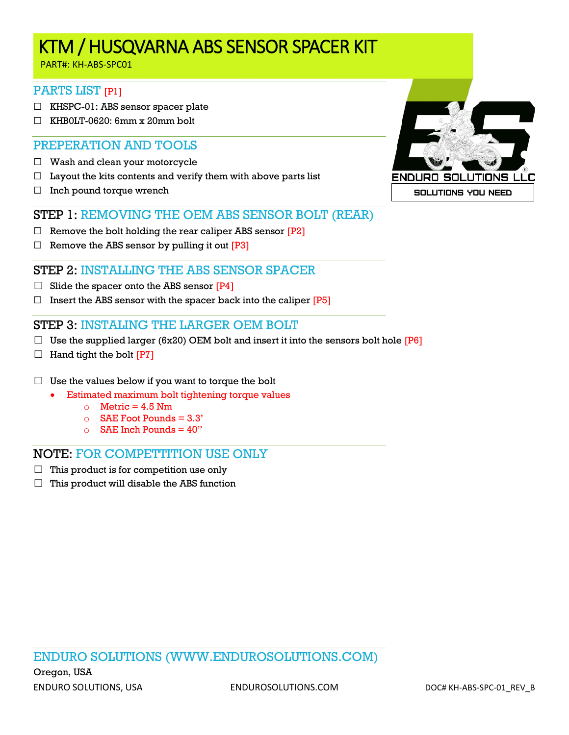## KTM / HUSQVARNA ABS SENSOR SPACER KIT

PART#: KH-ABS-SPC01

#### PARTS LIST [P1]

- ☐ KHSPC-01: ABS sensor spacer plate
- $\Box$  KHB0LT-0620: 6mm x 20mm bolt

#### PREPERATION AND TOOLS

- $\Box$  Wash and clean your motorcycle
- $\Box$  Layout the kits contents and verify them with above parts list
- $\Box$  Inch pound torque wrench

#### STEP 1: REMOVING THE OEM ABS SENSOR BOLT (REAR)

- $\Box$  Remove the bolt holding the rear caliper ABS sensor  $[P2]$
- $\Box$  Remove the ABS sensor by pulling it out [P3]

#### STEP 2: INSTALLING THE ABS SENSOR SPACER

- $\Box$  Slide the spacer onto the ABS sensor  $[P4]$
- $\Box$  Insert the ABS sensor with the spacer back into the caliper [P5]

#### STEP 3: INSTALING THE LARGER OEM BOLT

- □ Use the supplied larger (6x20) OEM bolt and insert it into the sensors bolt hole  $[P6]$
- $\Box$  Hand tight the bolt [P7]
- $\Box$  Use the values below if you want to torque the bolt
	- Estimated maximum bolt tightening torque values
		- $\circ$  Metric = 4.5 Nm
		- $\circ$  SAE Foot Pounds = 3.3'
		- $\circ$  SAE Inch Pounds = 40"

#### NOTE: FOR COMPETTITION USE ONLY

- $\Box$  This product is for competition use only
- $\Box$  This product will disable the ABS function



ENDURO SOLUTIONS (WWW.ENDUROSOLUTIONS.COM)